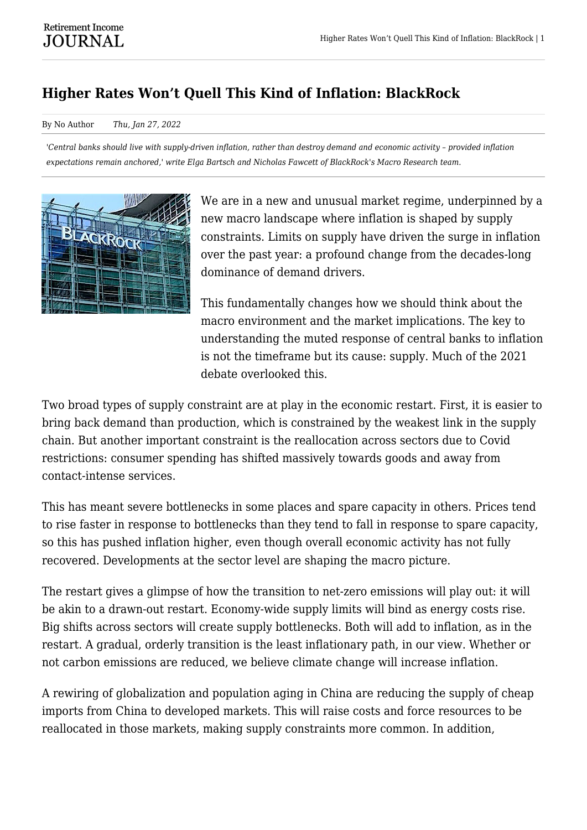## **Higher Rates Won't Quell This Kind of Inflation: BlackRock**

## By No Author *Thu, Jan 27, 2022*

*'Central banks should live with supply-driven inflation, rather than destroy demand and economic activity – provided inflation expectations remain anchored,' write Elga Bartsch and Nicholas Fawcett of BlackRock's Macro Research team.*



We are in a new and unusual market regime, underpinned by a new macro landscape where inflation is shaped by supply constraints. Limits on supply have driven the surge in inflation over the past year: a profound change from the decades-long dominance of demand drivers.

This fundamentally changes how we should think about the macro environment and the market implications. The key to understanding the muted response of central banks to inflation is not the timeframe but its cause: supply. Much of the 2021 debate overlooked this.

Two broad types of supply constraint are at play in the economic restart. First, it is easier to bring back demand than production, which is constrained by the weakest link in the supply chain. But another important constraint is the reallocation across sectors due to Covid restrictions: consumer spending has shifted massively towards goods and away from contact-intense services.

This has meant severe bottlenecks in some places and spare capacity in others. Prices tend to rise faster in response to bottlenecks than they tend to fall in response to spare capacity, so this has pushed inflation higher, even though overall economic activity has not fully recovered. Developments at the sector level are shaping the macro picture.

The restart gives a glimpse of how the transition to net-zero emissions will play out: it will be akin to a drawn-out restart. Economy-wide supply limits will bind as energy costs rise. Big shifts across sectors will create supply bottlenecks. Both will add to inflation, as in the restart. A gradual, orderly transition is the least inflationary path, in our view. Whether or not carbon emissions are reduced, we believe climate change will increase inflation.

A rewiring of globalization and population aging in China are reducing the supply of cheap imports from China to developed markets. This will raise costs and force resources to be reallocated in those markets, making supply constraints more common. In addition,